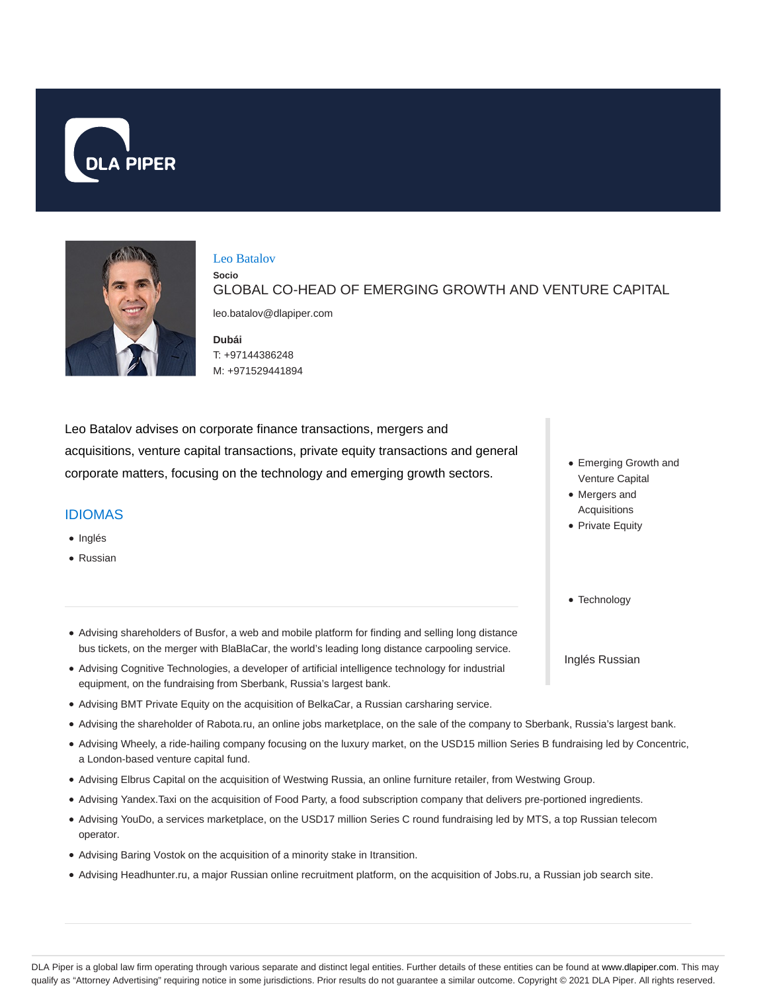



#### Leo Batalov

**Socio** GLOBAL CO-HEAD OF EMERGING GROWTH AND VENTURE CAPITAL

leo.batalov@dlapiper.com

**Dubái** T: +97144386248 M: +971529441894

Leo Batalov advises on corporate finance transactions, mergers and acquisitions, venture capital transactions, private equity transactions and general corporate matters, focusing on the technology and emerging growth sectors.

#### IDIOMAS

- Inglés
- Russian
- Emerging Growth and Venture Capital
- Mergers and Acquisitions
- Private Equity
- Technology

Inglés Russian

- Advising shareholders of Busfor, a web and mobile platform for finding and selling long distance bus tickets, on the merger with BlaBlaCar, the world's leading long distance carpooling service.
- Advising Cognitive Technologies, a developer of artificial intelligence technology for industrial equipment, on the fundraising from Sberbank, Russia's largest bank.
- Advising BMT Private Equity on the acquisition of BelkaCar, a Russian carsharing service.
- Advising the shareholder of Rabota.ru, an online jobs marketplace, on the sale of the company to Sberbank, Russia's largest bank.
- Advising Wheely, a ride-hailing company focusing on the luxury market, on the USD15 million Series B fundraising led by Concentric, a London-based venture capital fund.
- Advising Elbrus Capital on the acquisition of Westwing Russia, an online furniture retailer, from Westwing Group.
- Advising Yandex.Taxi on the acquisition of Food Party, a food subscription company that delivers pre-portioned ingredients.
- Advising YouDo, a services marketplace, on the USD17 million Series C round fundraising led by MTS, a top Russian telecom operator.
- Advising Baring Vostok on the acquisition of a minority stake in Itransition.
- Advising Headhunter.ru, a major Russian online recruitment platform, on the acquisition of Jobs.ru, a Russian job search site.

DLA Piper is a global law firm operating through various separate and distinct legal entities. Further details of these entities can be found at www.dlapiper.com. This may qualify as "Attorney Advertising" requiring notice in some jurisdictions. Prior results do not guarantee a similar outcome. Copyright @ 2021 DLA Piper. All rights reserved.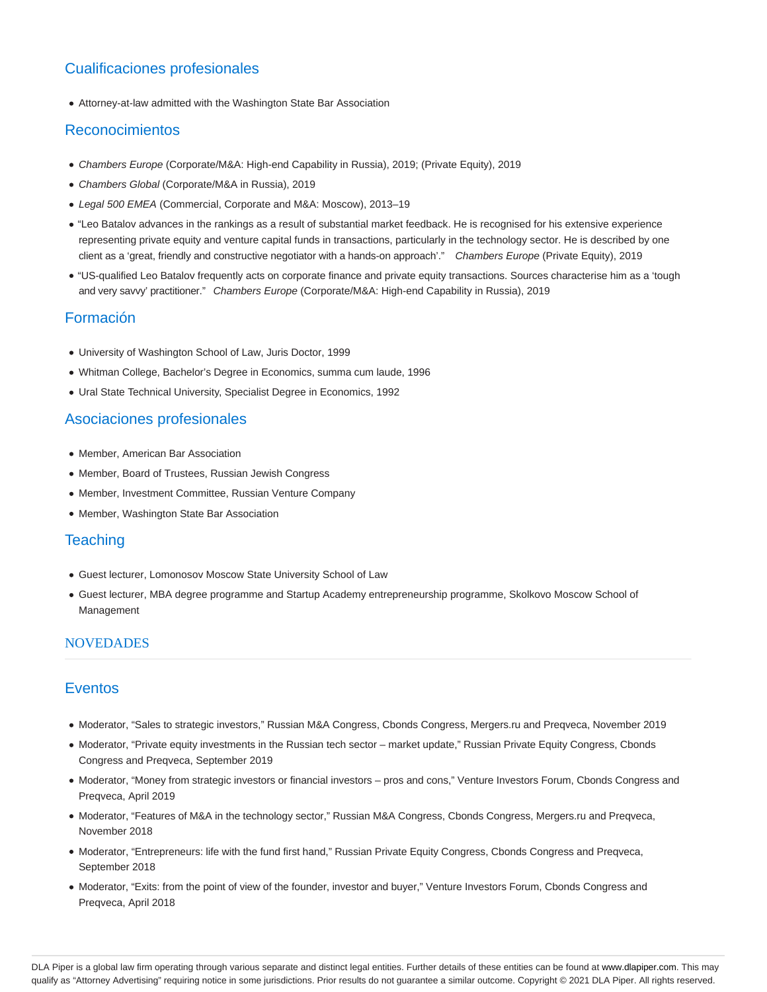# Cualificaciones profesionales

Attorney-at-law admitted with the Washington State Bar Association

#### Reconocimientos

- Chambers Europe (Corporate/M&A: High-end Capability in Russia), 2019; (Private Equity), 2019
- Chambers Global (Corporate/M&A in Russia), 2019
- Legal 500 EMEA (Commercial, Corporate and M&A: Moscow), 2013–19
- "Leo Batalov advances in the rankings as a result of substantial market feedback. He is recognised for his extensive experience representing private equity and venture capital funds in transactions, particularly in the technology sector. He is described by one client as a 'great, friendly and constructive negotiator with a hands-on approach'." Chambers Europe (Private Equity), 2019
- "US-qualified Leo Batalov frequently acts on corporate finance and private equity transactions. Sources characterise him as a 'tough and very savvy' practitioner." Chambers Europe (Corporate/M&A: High-end Capability in Russia), 2019

### Formación

- University of Washington School of Law, Juris Doctor, 1999
- Whitman College, Bachelor's Degree in Economics, summa cum laude, 1996
- Ural State Technical University, Specialist Degree in Economics, 1992

# Asociaciones profesionales

- Member, American Bar Association
- Member, Board of Trustees, Russian Jewish Congress
- Member, Investment Committee, Russian Venture Company
- Member, Washington State Bar Association

#### **Teaching**

- Guest lecturer, Lomonosov Moscow State University School of Law
- Guest lecturer, MBA degree programme and Startup Academy entrepreneurship programme, Skolkovo Moscow School of Management

#### NOVEDADES

# Eventos

- Moderator, "Sales to strategic investors," Russian M&A Congress, Cbonds Congress, Mergers.ru and Preqveca, November 2019
- Moderator, "Private equity investments in the Russian tech sector market update," Russian Private Equity Congress, Cbonds Congress and Preqveca, September 2019
- Moderator, "Money from strategic investors or financial investors pros and cons," Venture Investors Forum, Cbonds Congress and Preqveca, April 2019
- Moderator, "Features of M&A in the technology sector," Russian M&A Congress, Cbonds Congress, Mergers.ru and Preqveca, November 2018
- Moderator, "Entrepreneurs: life with the fund first hand," Russian Private Equity Congress, Cbonds Congress and Preqveca, September 2018
- Moderator, "Exits: from the point of view of the founder, investor and buyer," Venture Investors Forum, Cbonds Congress and Preqveca, April 2018